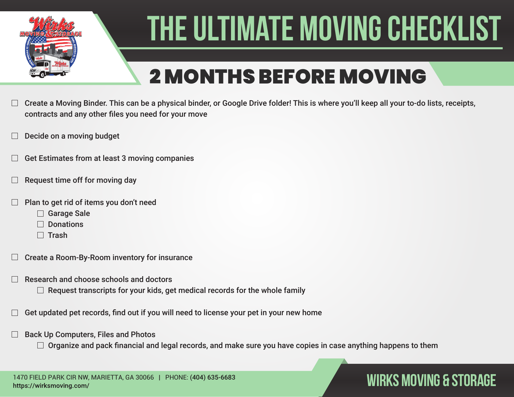

## 2 MONTHS BEFORE MOVING

- Create a Moving Binder. This can be a physical binder, or Google Drive folder! This is where you'll keep all your to-do lists, receipts, contracts and any other files you need for your move
- Decide on a moving budget
- Get Estimates from at least 3 moving companies
- Request time off for moving day
- Plan to get rid of items you don't need
	- □ Garage Sale
	- $\Box$  Donations
	- $\Box$  Trash
- Create a Room-By-Room inventory for insurance
- Research and choose schools and doctors
	- $\Box$  Request transcripts for your kids, get medical records for the whole family
- Get updated pet records, find out if you will need to license your pet in your new home
- Back Up Computers, Files and Photos
	- $\Box$  Organize and pack financial and legal records, and make sure you have copies in case anything happens to them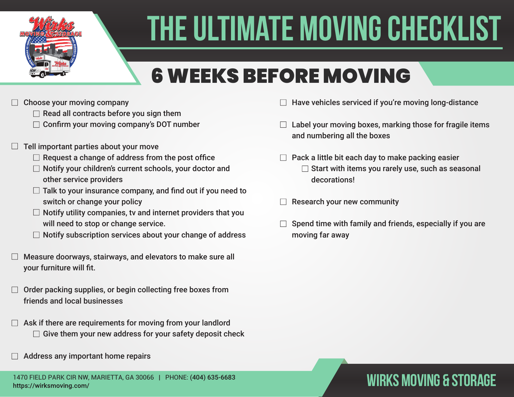

## 6 WEEKS BEFORE MOVING

- Choose your moving company
	- $\Box$  Read all contracts before you sign them
	- $\Box$  Confirm your moving company's DOT number
- Tell important parties about your move
	- $\Box$  Request a change of address from the post office
	- $\Box$  Notify your children's current schools, your doctor and other service providers
	- $\Box$  Talk to your insurance company, and find out if you need to switch or change your policy
	- $\Box$  Notify utility companies, tv and internet providers that you will need to stop or change service.
	- $\Box$  Notify subscription services about your change of address
- Measure doorways, stairways, and elevators to make sure all your furniture will fit.
- Order packing supplies, or begin collecting free boxes from friends and local businesses
- Ask if there are requirements for moving from your landlord  $\Box$  Give them your new address for your safety deposit check
- Address any important home repairs
- Have vehicles serviced if you're moving long-distance
- $\Box$  Label your moving boxes, marking those for fragile items and numbering all the boxes
- $\Box$  Pack a little bit each day to make packing easier  $\Box$  Start with items you rarely use, such as seasonal decorations!
- Research your new community
- Spend time with family and friends, especially if you are moving far away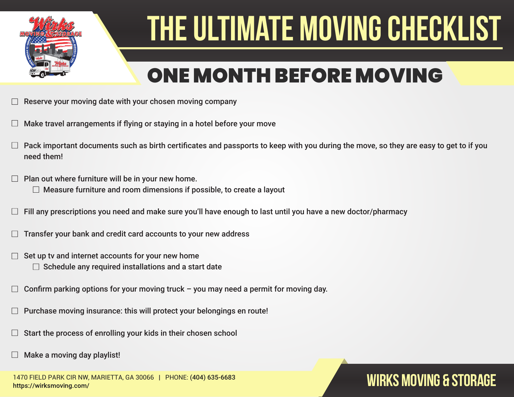

### ONE MONTH BEFORE MOVING

- Reserve your moving date with your chosen moving company
- Make travel arrangements if flying or staying in a hotel before your move
- Pack important documents such as birth certificates and passports to keep with you during the move, so they are easy to get to if you need them!
- Plan out where furniture will be in your new home.
	- $\Box$  Measure furniture and room dimensions if possible, to create a layout
- Fill any prescriptions you need and make sure you'll have enough to last until you have a new doctor/pharmacy
- Transfer your bank and credit card accounts to your new address
- Set up tv and internet accounts for your new home  $\Box$ 
	- $\Box$  Schedule any required installations and a start date
- Confirm parking options for your moving truck you may need a permit for moving day.
- Purchase moving insurance: this will protect your belongings en route!
- Start the process of enrolling your kids in their chosen school
- Make a moving day playlist!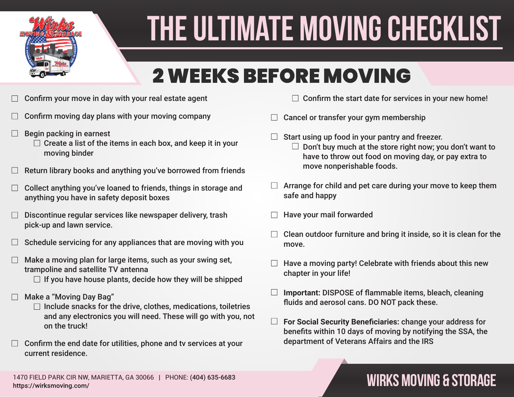

### 2 WEEKS BEFORE MOVING

- Confirm your move in day with your real estate agent
- Confirm moving day plans with your moving company
- Begin packing in earnest
	- $\Box$  Create a list of the items in each box, and keep it in your moving binder
- Return library books and anything you've borrowed from friends
- Collect anything you've loaned to friends, things in storage and anything you have in safety deposit boxes
- Discontinue regular services like newspaper delivery, trash pick-up and lawn service.
- Schedule servicing for any appliances that are moving with you
- Make a moving plan for large items, such as your swing set, trampoline and satellite TV antenna
	- $\Box$  If you have house plants, decide how they will be shipped
- Make a "Moving Day Bag"
	- $\Box$  Include snacks for the drive, clothes, medications, toiletries and any electronics you will need. These will go with you, not on the truck!
- Confirm the end date for utilities, phone and tv services at your current residence.
- $\Box$  Confirm the start date for services in your new home!
- Cancel or transfer your gym membership
	- Start using up food in your pantry and freezer.  $\Box$  Don't buy much at the store right now; you don't want to have to throw out food on moving day, or pay extra to move nonperishable foods.
- $\Box$  Arrange for child and pet care during your move to keep them safe and happy
- Have your mail forwarded
- Clean outdoor furniture and bring it inside, so it is clean for the move.
- Have a moving party! Celebrate with friends about this new chapter in your life!
- $\Box$ **Important:** DISPOSE of flammable items, bleach, cleaning fluids and aerosol cans. DO NOT pack these.
- $\Box$ **For Social Security Beneficiaries:** change your address for benefits within 10 days of moving by notifying the SSA, the department of Veterans Affairs and the IRS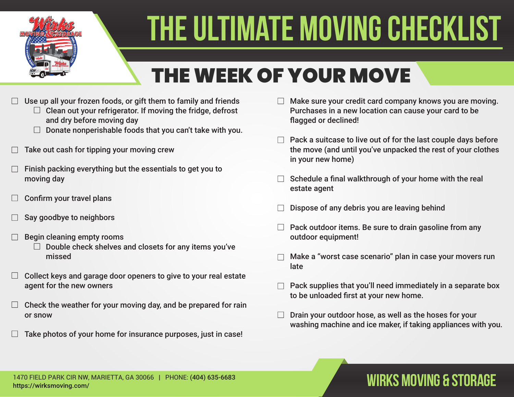

## THE WEEK OF YOUR MOVE

- Use up all your frozen foods, or gift them to family and friends
	- $\Box$  Clean out your refrigerator. If moving the fridge, defrost and dry before moving day
	- $\Box$  Donate nonperishable foods that you can't take with you.
- Take out cash for tipping your moving crew
- Finish packing everything but the essentials to get you to moving day
- Confirm your travel plans
- Say goodbye to neighbors
- Begin cleaning empty rooms
	- $\Box$  Double check shelves and closets for any items you've missed
- Collect keys and garage door openers to give to your real estate agent for the new owners
- Check the weather for your moving day, and be prepared for rain or snow
- Take photos of your home for insurance purposes, just in case!
- Make sure your credit card company knows you are moving. Purchases in a new location can cause your card to be flagged or declined!
- $\Box$  Pack a suitcase to live out of for the last couple days before the move (and until you've unpacked the rest of your clothes in your new home)
- Schedule a final walkthrough of your home with the real estate agent
- Dispose of any debris you are leaving behind
- Pack outdoor items. Be sure to drain gasoline from any outdoor equipment!
- Make a "worst case scenario" plan in case your movers run late
- Pack supplies that you'll need immediately in a separate box to be unloaded first at your new home.
- Drain your outdoor hose, as well as the hoses for your washing machine and ice maker, if taking appliances with you.

### 1470 FIELD PARK CIR NW, MARIETTA, GA 30066 | PHONE: (404) 635-6683<br>https://wirksmoving.com/ https://wirksmoving.com/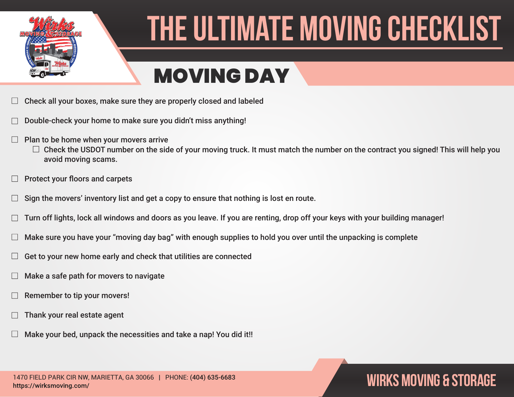

### MOVING DAY

- Check all your boxes, make sure they are properly closed and labeled
- Double-check your home to make sure you didn't miss anything!
- Plan to be home when your movers arrive
	- $\Box$  Check the USDOT number on the side of your moving truck. It must match the number on the contract you signed! This will help you avoid moving scams.
- Protect your floors and carpets
- Sign the movers' inventory list and get a copy to ensure that nothing is lost en route.
- Turn off lights, lock all windows and doors as you leave. If you are renting, drop off your keys with your building manager!
- Make sure you have your "moving day bag" with enough supplies to hold you over until the unpacking is complete
- Get to your new home early and check that utilities are connected
- Make a safe path for movers to navigate
- Remember to tip your movers!
- Thank your real estate agent
- Make your bed, unpack the necessities and take a nap! You did it!!

1470 FIELD PARK CIR NW, MARIETTA, GA 30066 | PHONE: (404) 635-6683<br>https://wirksmoving.com/ https://wirksmoving.com/